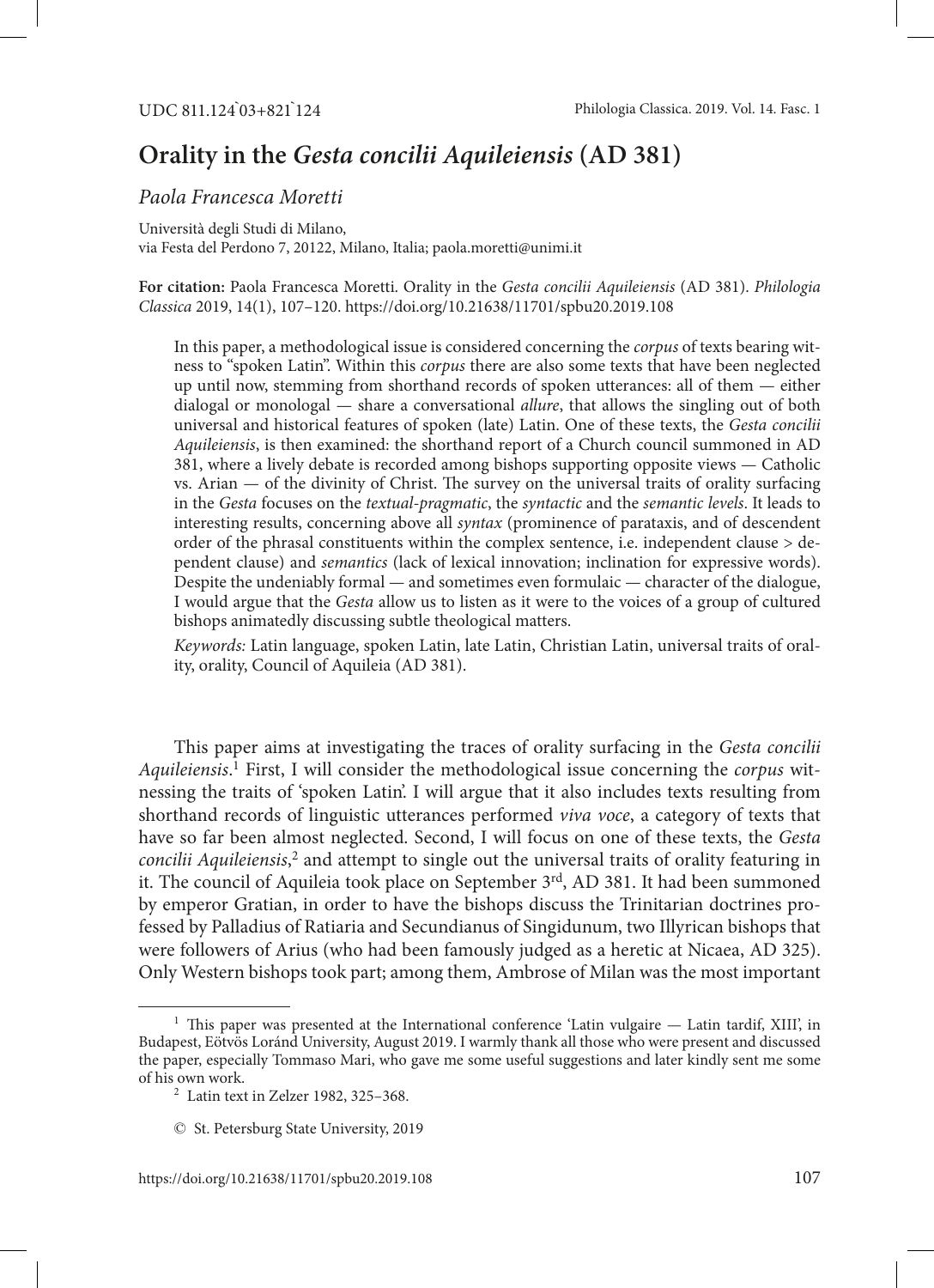# **Orality in the** *Gesta concilii Aquileiensis* **(AD 381)**

## *Paola Francesca Moretti*

Università degli Studi di Milano, via Festa del Perdono 7, 20122, Milano, Italia; [paola.moretti@unimi.it](mailto:paola.moretti@unimi.it)

**For citation:** Paola Francesca Moretti. Orality in the *Gesta concilii Aquileiensis* (AD 381). *Philologia Classica* 2019, 14(1), 107–120. <https://doi.org/10.21638/11701/spbu20.2019.108>

In this paper, a methodological issue is considered concerning the *corpus* of texts bearing witness to "spoken Latin". Within this *corpus* there are also some texts that have been neglected up until now, stemming from shorthand records of spoken utterances: all of them — either dialogal or monologal — share a conversational *allure*, that allows the singling out of both universal and historical features of spoken (late) Latin. One of these texts, the *Gesta concilii Aquileiensis*, is then examined: the shorthand report of a Church council summoned in AD 381, where a lively debate is recorded among bishops supporting opposite views — Catholic vs. Arian — of the divinity of Christ. The survey on the universal traits of orality surfacing in the *Gesta* focuses on the *textual-pragmatic*, the *syntactic* and the *semantic levels*. It leads to interesting results, concerning above all *syntax* (prominence of parataxis, and of descendent order of the phrasal constituents within the complex sentence, i.e. independent clause  $>$  dependent clause) and *semantics* (lack of lexical innovation; inclination for expressive words). Despite the undeniably formal — and sometimes even formulaic — character of the dialogue, I would argue that the *Gesta* allow us to listen as it were to the voices of a group of cultured bishops animatedly discussing subtle theological matters.

*Keywords:* Latin language, spoken Latin, late Latin, Christian Latin, universal traits of orality, orality, Council of Aquileia (AD 381).

This paper aims at investigating the traces of orality surfacing in the *Gesta concilii Aquileiensis*. 1 First, I will consider the methodological issue concerning the *corpus* witnessing the traits of 'spoken Latin'. I will argue that it also includes texts resulting from shorthand records of linguistic utterances performed *viva voce*, a category of texts that have so far been almost neglected. Second, I will focus on one of these texts, the *Gesta*  concilii Aquileiensis,<sup>2</sup> and attempt to single out the universal traits of orality featuring in it. The council of Aquileia took place on September 3rd, AD 381. It had been summoned by emperor Gratian, in order to have the bishops discuss the Trinitarian doctrines professed by Palladius of Ratiaria and Secundianus of Singidunum, two Illyrican bishops that were followers of Arius (who had been famously judged as a heretic at Nicaea, AD 325). Only Western bishops took part; among them, Ambrose of Milan was the most important

 $<sup>1</sup>$  This paper was presented at the International conference 'Latin vulgaire  $-$  Latin tardif, XIII', in</sup> Budapest, Eötvös Loránd University, August 2019. I warmly thank all those who were present and discussed the paper, especially Tommaso Mari, who gave me some useful suggestions and later kindly sent me some

 $\frac{2}{1}$  Latin text in Zelzer 1982, 325–368.

<sup>©</sup> St. Petersburg State University, 2019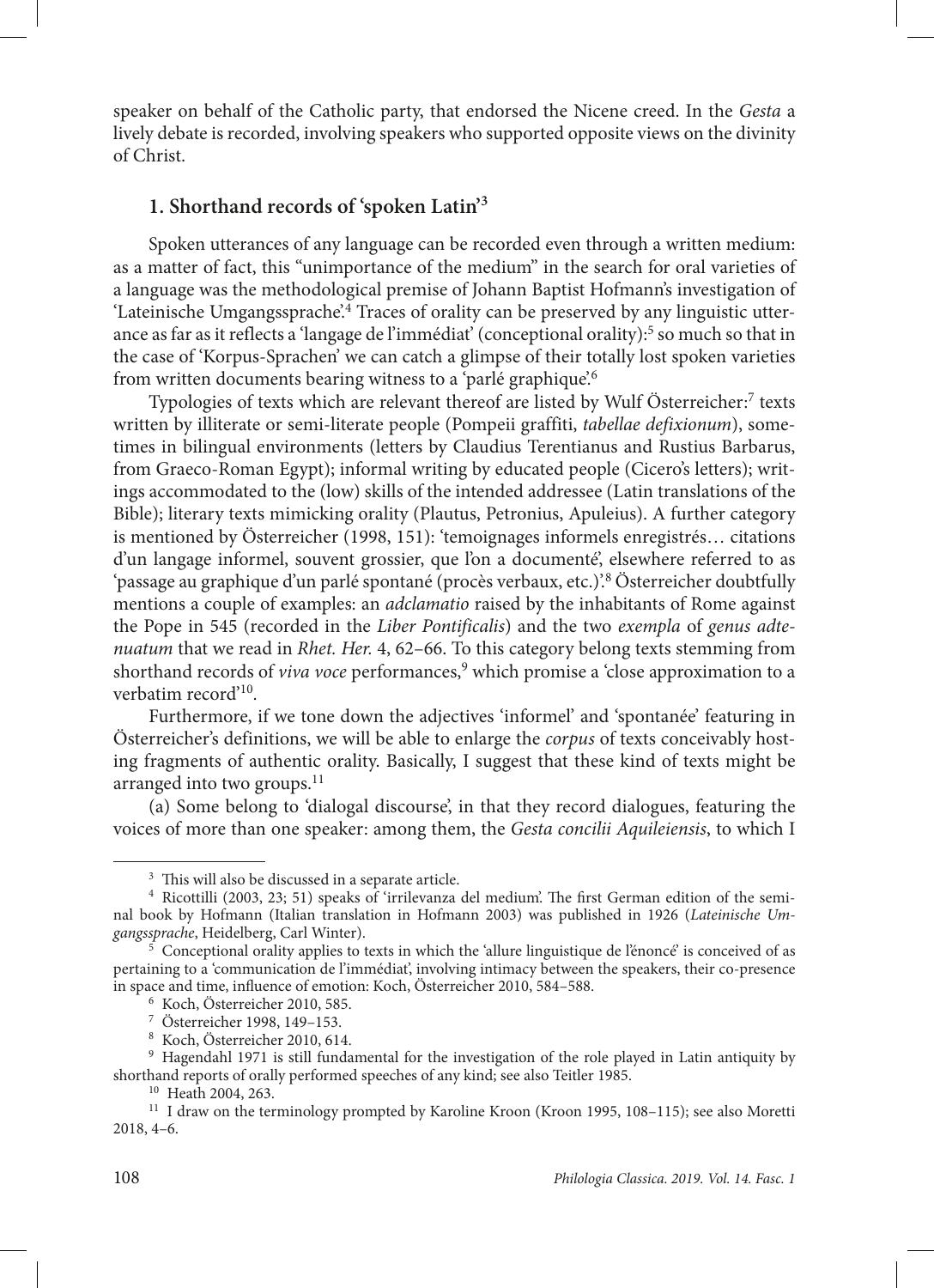speaker on behalf of the Catholic party, that endorsed the Nicene creed. In the *Gesta* a lively debate is recorded, involving speakers who supported opposite views on the divinity of Christ.

# **1. Shorthand records of 'spoken Latin'3**

Spoken utterances of any language can be recorded even through a written medium: as a matter of fact, this "unimportance of the medium" in the search for oral varieties of a language was the methodological premise of Johann Baptist Hofmann's investigation of 'Lateinische Umgangssprache'.<sup>4</sup> Traces of orality can be preserved by any linguistic utterance as far as it reflects a 'langage de l'immédiat' (conceptional orality):<sup>5</sup> so much so that in the case of 'Korpus-Sprachen' we can catch a glimpse of their totally lost spoken varieties from written documents bearing witness to a 'parlé graphique'.6

Typologies of texts which are relevant thereof are listed by Wulf Österreicher:<sup>7</sup> texts written by illiterate or semi-literate people (Pompeii graffiti, *tabellae defixionum*), sometimes in bilingual environments (letters by Claudius Terentianus and Rustius Barbarus, from Graeco-Roman Egypt); informal writing by educated people (Cicero's letters); writings accommodated to the (low) skills of the intended addressee (Latin translations of the Bible); literary texts mimicking orality (Plautus, Petronius, Apuleius). A further category is mentioned by Österreicher (1998, 151): 'temoignages informels enregistrés… citations d'un langage informel, souvent grossier, que l'on a documenté', elsewhere referred to as 'passage au graphique d'un parlé spontané (procès verbaux, etc.)'.8 Österreicher doubtfully mentions a couple of examples: an *adclamatio* raised by the inhabitants of Rome against the Pope in 545 (recorded in the *Liber Pontificalis*) and the two *exempla* of *genus adtenuatum* that we read in *Rhet. Her.* 4, 62–66. To this category belong texts stemming from shorthand records of *viva voce* performances,<sup>9</sup> which promise a 'close approximation to a verbatim record'10.

Furthermore, if we tone down the adjectives 'informel' and 'spontanée' featuring in Österreicher's definitions, we will be able to enlarge the *corpus* of texts conceivably hosting fragments of authentic orality. Basically, I suggest that these kind of texts might be arranged into two groups. $11$ 

(a) Some belong to 'dialogal discourse', in that they record dialogues, featuring the voices of more than one speaker: among them, the *Gesta concilii Aquileiensis*, to which I

<sup>&</sup>lt;sup>3</sup> This will also be discussed in a separate article.<br><sup>4</sup> Ricottilli (2003, 23; 51) speaks of 'irrilevanza del medium'. The first German edition of the seminal book by Hofmann (Italian translation in Hofmann 2003) was published in 1926 (*Lateinische Umgangssprache*, Heidelberg, Carl Winter). 5 Conceptional orality applies to texts in which the 'allure linguistique de l'énoncé' is conceived of as

pertaining to a 'communication de l'immédiat', involving intimacy between the speakers, their co-presence in space and time, influence of emotion: Koch, Österreicher 2010, 584–588. 6 Koch, Österreicher 2010, 585.

<sup>7</sup> Österreicher 1998, 149–153.

<sup>8</sup> Koch, Österreicher 2010, 614.

<sup>9</sup> Hagendahl 1971 is still fundamental for the investigation of the role played in Latin antiquity by shorthand reports of orally performed speeches of any kind; see also Teitler 1985.<br> $^{10}$  Heath 2004, 263.

 $11$  I draw on the terminology prompted by Karoline Kroon (Kroon 1995, 108–115); see also Moretti 2018, 4–6.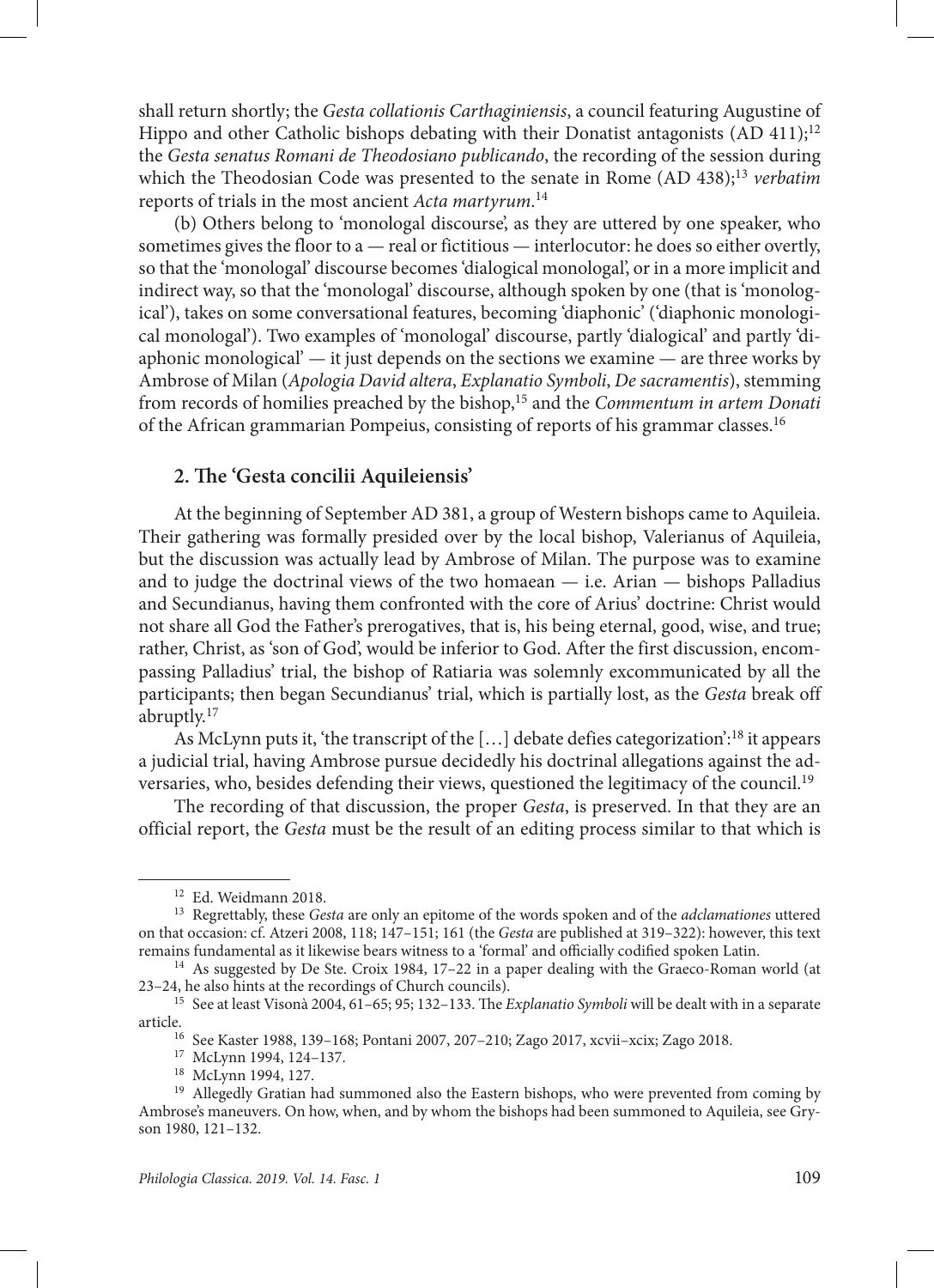shall return shortly; the *Gesta collationis Carthaginiensis*, a council featuring Augustine of Hippo and other Catholic bishops debating with their Donatist antagonists  $(AD 411)<sup>12</sup>$ the *Gesta senatus Romani de Theodosiano publicando*, the recording of the session during which the Theodosian Code was presented to the senate in Rome (AD 438);13 *verbatim*  reports of trials in the most ancient *Acta martyrum*. 14

(b) Others belong to 'monologal discourse', as they are uttered by one speaker, who sometimes gives the floor to  $a$  — real or fictitious — interlocutor: he does so either overtly, so that the 'monologal' discourse becomes 'dialogical monologal', or in a more implicit and indirect way, so that the 'monologal' discourse, although spoken by one (that is 'monological'), takes on some conversational features, becoming 'diaphonic' ('diaphonic monological monologal'). Two examples of 'monologal' discourse, partly 'dialogical' and partly 'diaphonic monological'  $-$  it just depends on the sections we examine  $-$  are three works by Ambrose of Milan (*Apologia David altera*, *Explanatio Symboli*, *De sacramentis*), stemming from records of homilies preached by the bishop,15 and the *Commentum in artem Donati* of the African grammarian Pompeius, consisting of reports of his grammar classes.16

## **2. The 'Gesta concilii Aquileiensis'**

At the beginning of September AD 381, a group of Western bishops came to Aquileia. Their gathering was formally presided over by the local bishop, Valerianus of Aquileia, but the discussion was actually lead by Ambrose of Milan. The purpose was to examine and to judge the doctrinal views of the two homaean  $-$  i.e. Arian  $-$  bishops Palladius and Secundianus, having them confronted with the core of Arius' doctrine: Christ would not share all God the Father's prerogatives, that is, his being eternal, good, wise, and true; rather, Christ, as 'son of God', would be inferior to God. After the first discussion, encompassing Palladius' trial, the bishop of Ratiaria was solemnly excommunicated by all the participants; then began Secundianus' trial, which is partially lost, as the *Gesta* break off abruptly.17

As McLynn puts it, 'the transcript of the  $[\,\ldots]$  debate defies categorization':<sup>18</sup> it appears a judicial trial, having Ambrose pursue decidedly his doctrinal allegations against the adversaries, who, besides defending their views, questioned the legitimacy of the council.19

The recording of that discussion, the proper *Gesta*, is preserved. In that they are an official report, the *Gesta* must be the result of an editing process similar to that which is

<sup>12</sup> Ed. Weidmann 2018. 13 Regrettably, these *Gesta* are only an epitome of the words spoken and of the *adclamationes* uttered on that occasion: cf. Atzeri 2008, 118; 147–151; 161 (the *Gesta* are published at 319–322): however, this text remains fundamental as it likewise bears witness to a 'formal' and officially codified spoken Latin.

 $^{14}$  As suggested by De Ste. Croix 1984, 17–22 in a paper dealing with the Graeco-Roman world (at  $23-24$ , he also hints at the recordings of Church councils).

<sup>&</sup>lt;sup>15</sup> See at least Visonà 2004, 61–65; 95; 132–133. The *Explanatio Symboli* will be dealt with in a separate

article.16 See Kaster 1988, 139–168; Pontani 2007, 207–210; Zago 2017, xcvii–xcix; Zago 2018.

<sup>17</sup> McLynn 1994, 124–137.

<sup>18</sup> McLynn 1994, 127.

<sup>&</sup>lt;sup>19</sup> Allegedly Gratian had summoned also the Eastern bishops, who were prevented from coming by Ambrose's maneuvers. On how, when, and by whom the bishops had been summoned to Aquileia, see Gryson 1980, 121–132.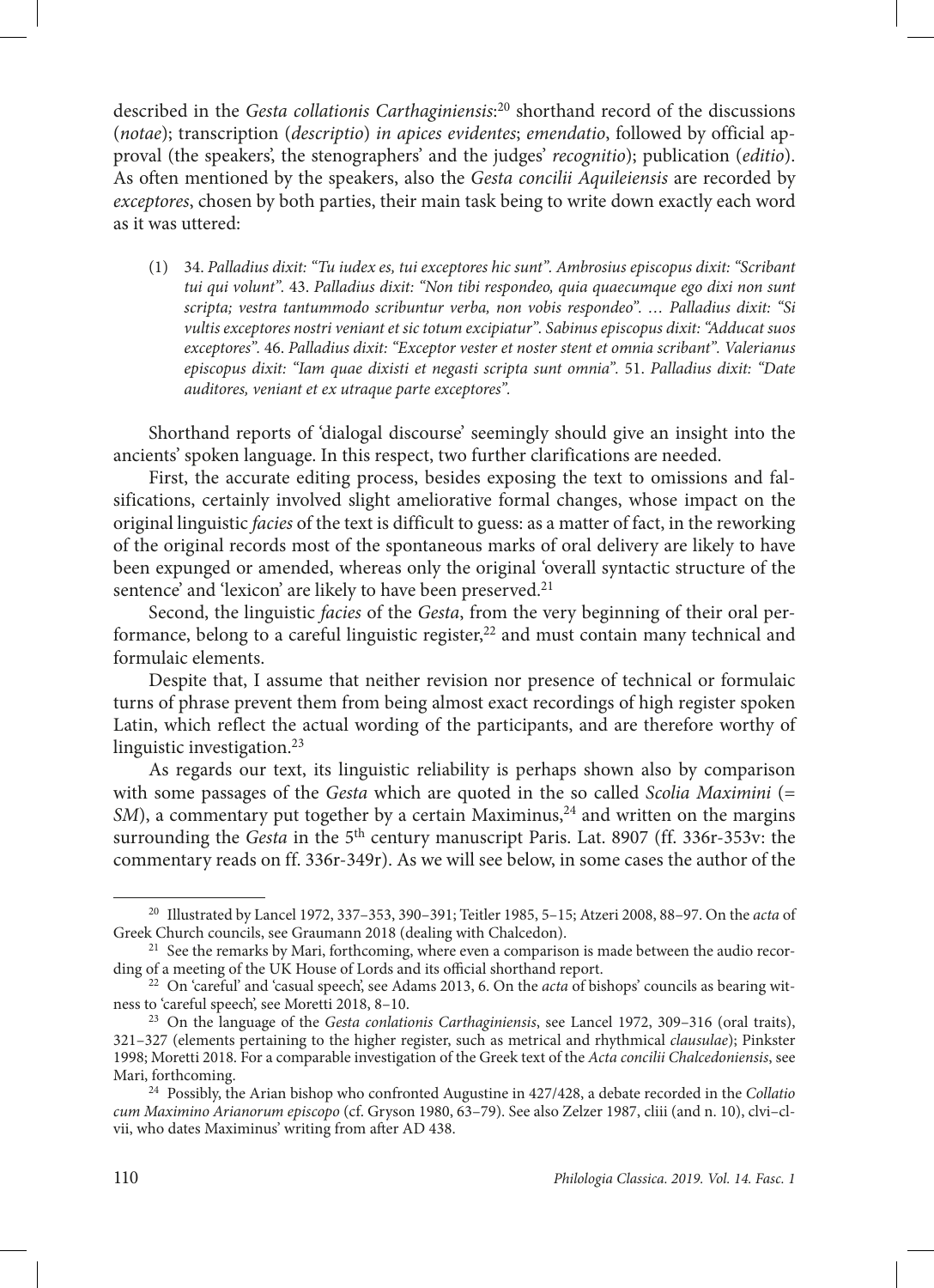described in the *Gesta collationis Carthaginiensis*: 20 shorthand record of the discussions (*notae*); transcription (*descriptio*) *in apices evidentes*; *emendatio*, followed by official approval (the speakers', the stenographers' and the judges' *recognitio*); publication (*editio*). As often mentioned by the speakers, also the *Gesta concilii Aquileiensis* are recorded by *exceptores*, chosen by both parties, their main task being to write down exactly each word as it was uttered:

(1) 34. *Palladius dixit: "Tu iudex es, tui exceptores hic sunt". Ambrosius episcopus dixit: "Scribant tui qui volunt".* 43. *Palladius dixit: "Non tibi respondeo, quia quaecumque ego dixi non sunt scripta; vestra tantummodo scribuntur verba, non vobis respondeo". … Palladius dixit: "Si vultis exceptores nostri veniant et sic totum excipiatur". Sabinus episcopus dixit: "Adducat suos exceptores".* 46. *Palladius dixit: "Exceptor vester et noster stent et omnia scribant". Valerianus episcopus dixit: "Iam quae dixisti et negasti scripta sunt omnia".* 51. *Palladius dixit: "Date auditores, veniant et ex utraque parte exceptores".*

Shorthand reports of 'dialogal discourse' seemingly should give an insight into the ancients' spoken language. In this respect, two further clarifications are needed.

First, the accurate editing process, besides exposing the text to omissions and falsifications, certainly involved slight ameliorative formal changes, whose impact on the original linguistic *facies* of the text is difficult to guess: as a matter of fact, in the reworking of the original records most of the spontaneous marks of oral delivery are likely to have been expunged or amended, whereas only the original 'overall syntactic structure of the sentence' and 'lexicon' are likely to have been preserved.<sup>21</sup>

Second, the linguistic *facies* of the *Gesta*, from the very beginning of their oral performance, belong to a careful linguistic register, $22$  and must contain many technical and formulaic elements.

Despite that, I assume that neither revision nor presence of technical or formulaic turns of phrase prevent them from being almost exact recordings of high register spoken Latin, which reflect the actual wording of the participants, and are therefore worthy of linguistic investigation. $23$ 

As regards our text, its linguistic reliability is perhaps shown also by comparison with some passages of the *Gesta* which are quoted in the so called *Scolia Maximini* (= *SM*), a commentary put together by a certain Maximinus,<sup>24</sup> and written on the margins surrounding the *Gesta* in the 5<sup>th</sup> century manuscript Paris. Lat. 8907 (ff. 336r-353v: the commentary reads on ff. 336r-349r). As we will see below, in some cases the author of the

<sup>20</sup> Illustrated by Lancel 1972, 337–353, 390–391; Teitler 1985, 5–15; Atzeri 2008, 88–97. On the *acta* of Greek Church councils, see Graumann 2018 (dealing with Chalcedon).

<sup>&</sup>lt;sup>21</sup> See the remarks by Mari, forthcoming, where even a comparison is made between the audio recording of a meeting of the UK House of Lords and its official shorthand report.

<sup>&</sup>lt;sup>22</sup> On 'careful' and 'casual speech', see Adams 2013, 6. On the *acta* of bishops' councils as bearing witness to 'careful speech', see Moretti 2018, 8–10.

<sup>23</sup> On the language of the *Gesta conlationis Carthaginiensis*, see Lancel 1972, 309–316 (oral traits), 321–327 (elements pertaining to the higher register, such as metrical and rhythmical *clausulae*); Pinkster 1998; Moretti 2018. For a comparable investigation of the Greek text of the *Acta concilii Chalcedoniensis*, see

<sup>&</sup>lt;sup>24</sup> Possibly, the Arian bishop who confronted Augustine in 427/428, a debate recorded in the *Collatio cum Maximino Arianorum episcopo* (cf. Gryson 1980, 63–79). See also Zelzer 1987, cliii (and n. 10), clvi–clvii, who dates Maximinus' writing from after AD 438.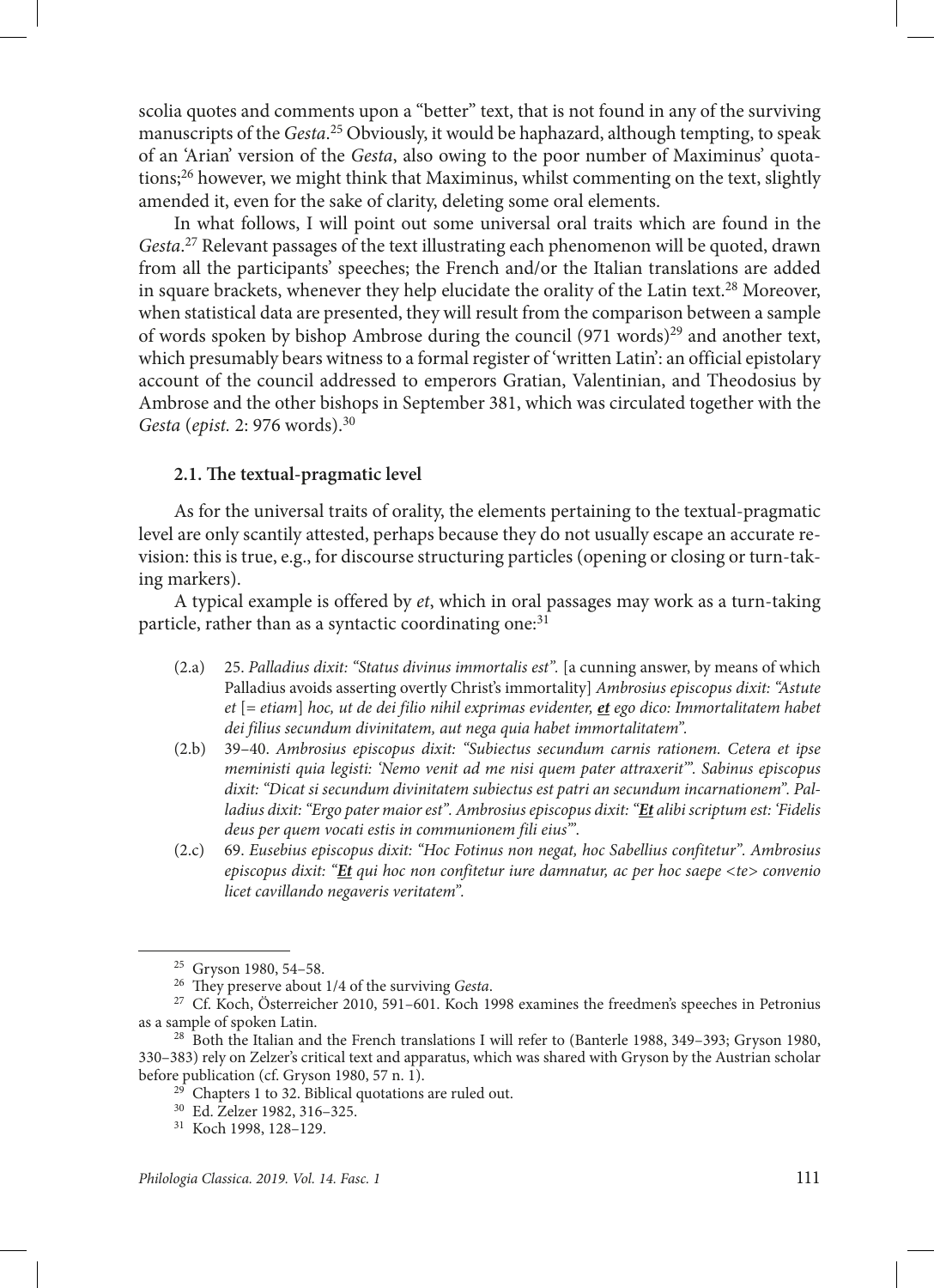scolia quotes and comments upon a "better" text, that is not found in any of the surviving manuscripts of the *Gesta*. 25 Obviously, it would be haphazard, although tempting, to speak of an 'Arian' version of the *Gesta*, also owing to the poor number of Maximinus' quotations;<sup>26</sup> however, we might think that Maximinus, whilst commenting on the text, slightly amended it, even for the sake of clarity, deleting some oral elements.

In what follows, I will point out some universal oral traits which are found in the *Gesta*. 27 Relevant passages of the text illustrating each phenomenon will be quoted, drawn from all the participants' speeches; the French and/or the Italian translations are added in square brackets, whenever they help elucidate the orality of the Latin text.<sup>28</sup> Moreover, when statistical data are presented, they will result from the comparison between a sample of words spoken by bishop Ambrose during the council  $(971 \text{ words})^{29}$  and another text, which presumably bears witness to a formal register of 'written Latin': an official epistolary account of the council addressed to emperors Gratian, Valentinian, and Theodosius by Ambrose and the other bishops in September 381, which was circulated together with the *Gesta* (*epist.* 2: 976 words).30

#### **2.1. The textual-pragmatic level**

As for the universal traits of orality, the elements pertaining to the textual-pragmatic level are only scantily attested, perhaps because they do not usually escape an accurate revision: this is true, e.g., for discourse structuring particles (opening or closing or turn-taking markers).

A typical example is offered by *et*, which in oral passages may work as a turn-taking particle, rather than as a syntactic coordinating one:<sup>31</sup>

- (2.a) 25. *Palladius dixit: "Status divinus immortalis est".* [a cunning answer, by means of which Palladius avoids asserting overtly Christ's immortality] *Ambrosius episcopus dixit: "Astute et* [= *etiam*] *hoc, ut de dei filio nihil exprimas evidenter, et ego dico: Immortalitatem habet dei filius secundum divinitatem, aut nega quia habet immortalitatem".*
- (2.b) 39–40. *Ambrosius episcopus dixit: "Subiectus secundum carnis rationem. Cetera et ipse meministi quia legisti: 'Nemo venit ad me nisi quem pater attraxerit'". Sabinus episcopus dixit: "Dicat si secundum divinitatem subiectus est patri an secundum incarnationem". Palladius dixit: "Ergo pater maior est". Ambrosius episcopus dixit: "Et alibi scriptum est: 'Fidelis deus per quem vocati estis in communionem fili eius'"*.
- (2.c) 69. *Eusebius episcopus dixit: "Hoc Fotinus non negat, hoc Sabellius confitetur". Ambrosius episcopus dixit: "Et qui hoc non confitetur iure damnatur, ac per hoc saepe <te> convenio licet cavillando negaveris veritatem".*

<sup>25</sup> Gryson 1980, 54–58. 26 They preserve about 1/4 of the surviving *Gesta*. 27 Cf. Koch, Österreicher 2010, 591–601. Koch 1998 examines the freedmen's speeches in Petronius

as a sample of spoken Latin.<br><sup>28</sup> Both the Italian and the French translations I will refer to (Banterle 1988, 349–393; Gryson 1980, 330–383) rely on Zelzer's critical text and apparatus, which was shared with Gryson by the Austrian scholar before publication (cf. Gryson 1980, 57 n. 1).

<sup>&</sup>lt;sup>29</sup> Chapters 1 to 32. Biblical quotations are ruled out.  $30$  Ed. Zelzer 1982, 316–325.

<sup>31</sup> Koch 1998, 128–129.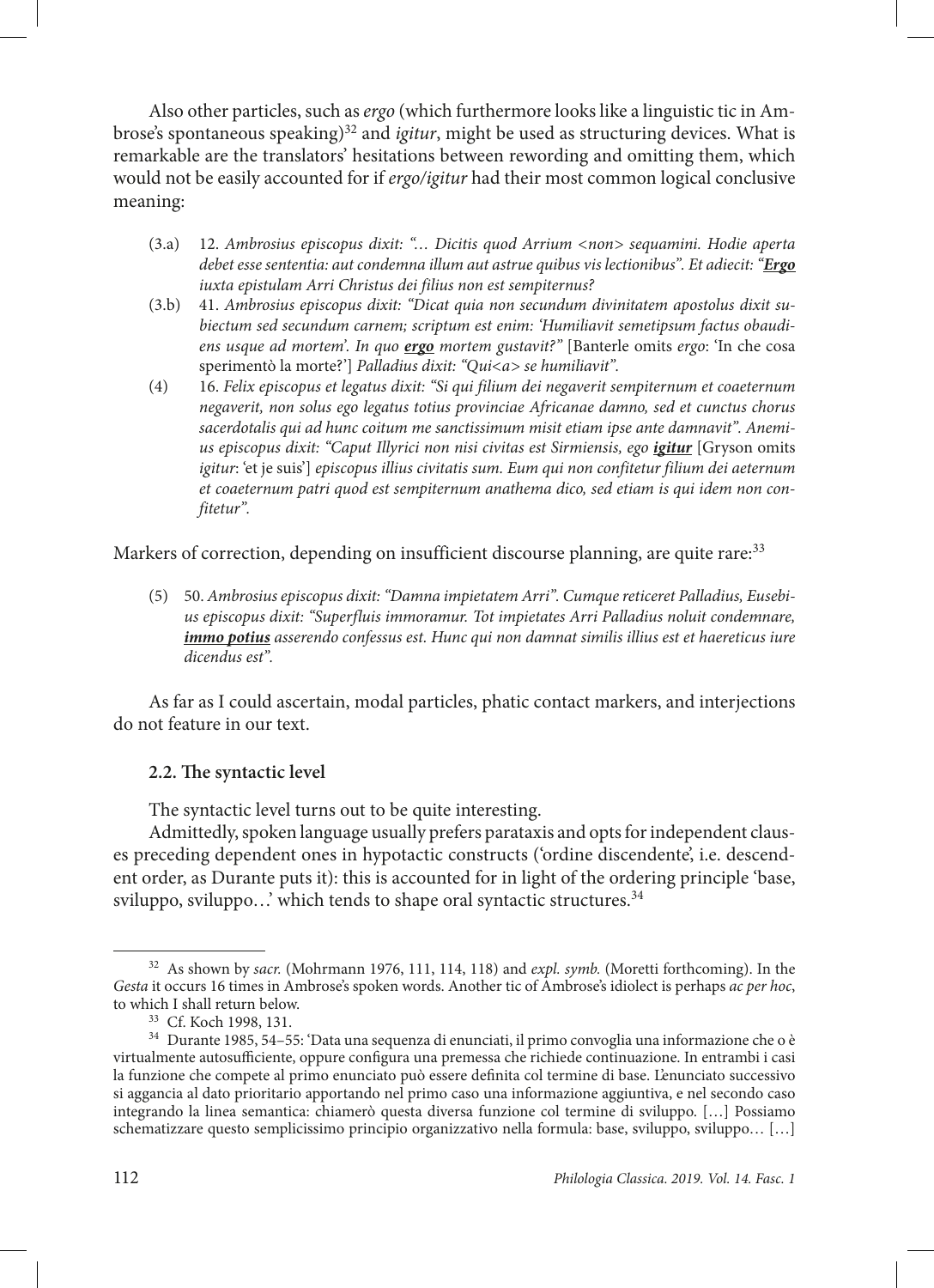Also other particles, such as *ergo* (which furthermore looks like a linguistic tic in Ambrose's spontaneous speaking)<sup>32</sup> and *igitur*, might be used as structuring devices. What is remarkable are the translators' hesitations between rewording and omitting them, which would not be easily accounted for if *ergo/igitur* had their most common logical conclusive meaning:

- (3.a) 12. *Ambrosius episcopus dixit: "… Dicitis quod Arrium <non> sequamini. Hodie aperta debet esse sententia: aut condemna illum aut astrue quibus vis lectionibus". Et adiecit: "Ergo iuxta epistulam Arri Christus dei filius non est sempiternus?*
- (3.b) 41. *Ambrosius episcopus dixit: "Dicat quia non secundum divinitatem apostolus dixit subiectum sed secundum carnem; scriptum est enim: 'Humiliavit semetipsum factus obaudiens usque ad mortem'. In quo ergo mortem gustavit?"* [Banterle omits *ergo*: 'In che cosa sperimentò la morte?'] *Palladius dixit: "Qui<a> se humiliavit".*
- (4) 16. *Felix episcopus et legatus dixit: "Si qui filium dei negaverit sempiternum et coaeternum negaverit, non solus ego legatus totius provinciae Africanae damno, sed et cunctus chorus sacerdotalis qui ad hunc coitum me sanctissimum misit etiam ipse ante damnavit". Anemi*us episcopus dixit: "Caput Illyrici non nisi civitas est Sirmiensis, ego *igitur* [Gryson omits *igitur*: 'et je suis'] *episcopus illius civitatis sum. Eum qui non confitetur filium dei aeternum et coaeternum patri quod est sempiternum anathema dico, sed etiam is qui idem non confitetur".*

Markers of correction, depending on insufficient discourse planning, are quite rare:<sup>33</sup>

(5) 50. *Ambrosius episcopus dixit: "Damna impietatem Arri". Cumque reticeret Palladius, Eusebius episcopus dixit: "Superfluis immoramur. Tot impietates Arri Palladius noluit condemnare, immo potius asserendo confessus est. Hunc qui non damnat similis illius est et haereticus iure dicendus est".*

As far as I could ascertain, modal particles, phatic contact markers, and interjections do not feature in our text.

## **2.2. The syntactic level**

The syntactic level turns out to be quite interesting.

Admittedly, spoken language usually prefers parataxis and opts for independent clauses preceding dependent ones in hypotactic constructs ('ordine discendente', i.e. descendent order, as Durante puts it): this is accounted for in light of the ordering principle 'base, sviluppo, sviluppo...' which tends to shape oral syntactic structures.<sup>34</sup>

<sup>32</sup> As shown by *sacr.* (Mohrmann 1976, 111, 114, 118) and *expl. symb.* (Moretti forthcoming). In the *Gesta* it occurs 16 times in Ambrose's spoken words. Another tic of Ambrose's idiolect is perhaps *ac per hoc*, to which I shall return below.

<sup>33</sup> Cf. Koch 1998, 131.

<sup>34</sup> Durante 1985, 54–55: 'Data una sequenza di enunciati, il primo convoglia una informazione che o è virtualmente autosufficiente, oppure configura una premessa che richiede continuazione. In entrambi i casi la funzione che compete al primo enunciato può essere definita col termine di base. L'enunciato successivo si aggancia al dato prioritario apportando nel primo caso una informazione aggiuntiva, e nel secondo caso integrando la linea semantica: chiamerò questa diversa funzione col termine di sviluppo. […] Possiamo schematizzare questo semplicissimo principio organizzativo nella formula: base, sviluppo, sviluppo… […]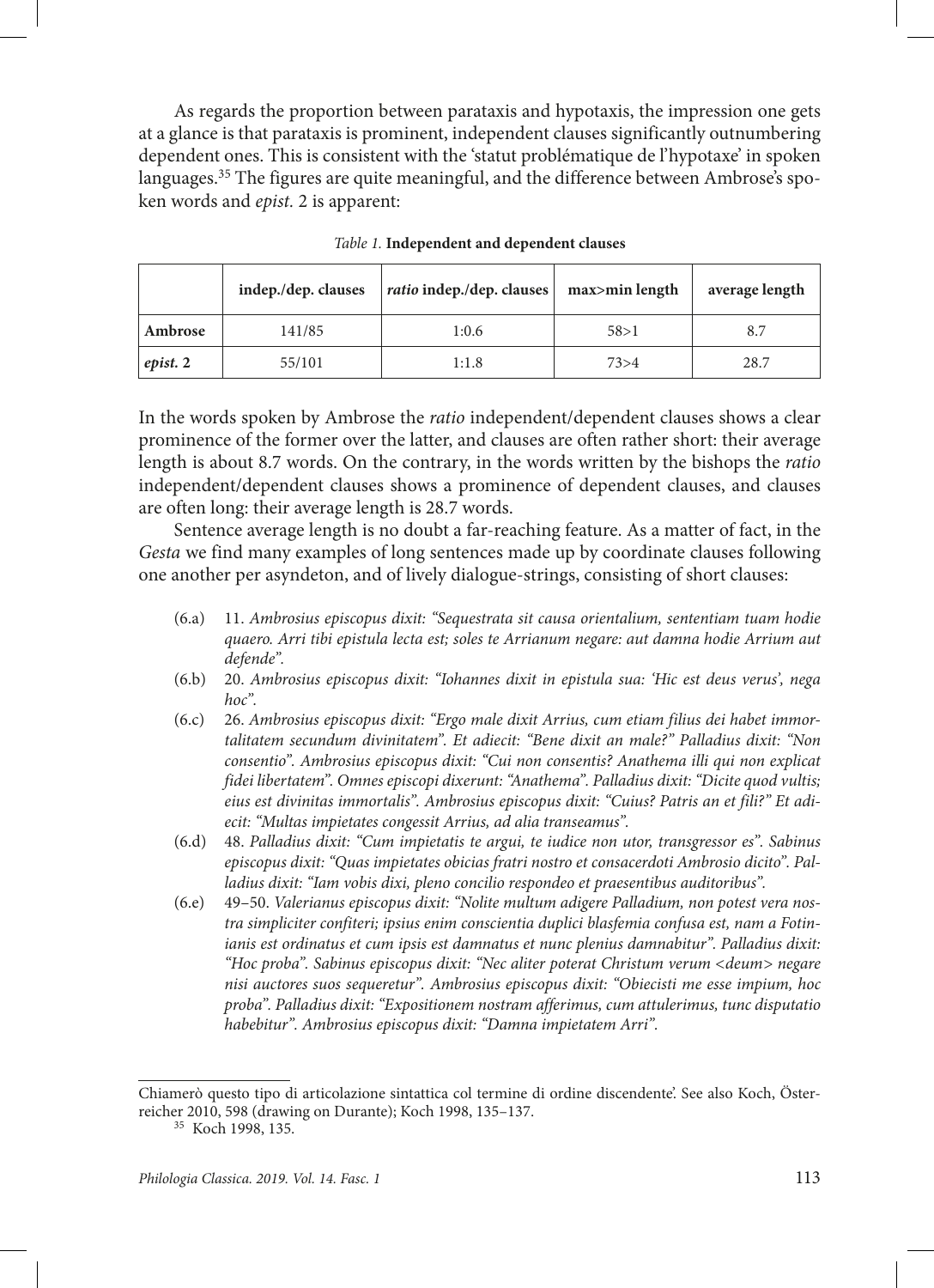As regards the proportion between parataxis and hypotaxis, the impression one gets at a glance is that parataxis is prominent, independent clauses significantly outnumbering dependent ones. This is consistent with the 'statut problématique de l'hypotaxe' in spoken languages.<sup>35</sup> The figures are quite meaningful, and the difference between Ambrose's spoken words and *epist.* 2 is apparent:

|          | indep./dep. clauses | <i>ratio</i> indep./dep. clauses | max>min length | average length |
|----------|---------------------|----------------------------------|----------------|----------------|
| Ambrose  | 141/85              | 1:0.6                            | 58 > 1         | 8.7            |
| epist. 2 | 55/101              | 1:1.8                            | 73 > 4         | 28.7           |

*Table 1.* **Independent and dependent clauses**

In the words spoken by Ambrose the *ratio* independent/dependent clauses shows a clear prominence of the former over the latter, and clauses are often rather short: their average length is about 8.7 words. On the contrary, in the words written by the bishops the *ratio* independent/dependent clauses shows a prominence of dependent clauses, and clauses are often long: their average length is 28.7 words.

Sentence average length is no doubt a far-reaching feature. As a matter of fact, in the *Gesta* we find many examples of long sentences made up by coordinate clauses following one another per asyndeton, and of lively dialogue-strings, consisting of short clauses:

- (6.a) 11. *Ambrosius episcopus dixit: "Sequestrata sit causa orientalium, sententiam tuam hodie quaero. Arri tibi epistula lecta est; soles te Arrianum negare: aut damna hodie Arrium aut defende".*
- (6.b) 20. *Ambrosius episcopus dixit: "Iohannes dixit in epistula sua: 'Hic est deus verus', nega hoc".*
- (6.c) 26. *Ambrosius episcopus dixit: "Ergo male dixit Arrius, cum etiam filius dei habet immortalitatem secundum divinitatem". Et adiecit: "Bene dixit an male?" Palladius dixit: "Non consentio". Ambrosius episcopus dixit: "Cui non consentis? Anathema illi qui non explicat fidei libertatem". Omnes episcopi dixerunt: "Anathema". Palladius dixit: "Dicite quod vultis; eius est divinitas immortalis". Ambrosius episcopus dixit: "Cuius? Patris an et fili?" Et adiecit: "Multas impietates congessit Arrius, ad alia transeamus".*
- (6.d) 48. *Palladius dixit: "Cum impietatis te argui, te iudice non utor, transgressor es". Sabinus episcopus dixit: "Quas impietates obicias fratri nostro et consacerdoti Ambrosio dicito". Palladius dixit: "Iam vobis dixi, pleno concilio respondeo et praesentibus auditoribus".*
- (6.e) 49–50. *Valerianus episcopus dixit: "Nolite multum adigere Palladium, non potest vera nostra simpliciter confiteri; ipsius enim conscientia duplici blasfemia confusa est, nam a Fotinianis est ordinatus et cum ipsis est damnatus et nunc plenius damnabitur". Palladius dixit: "Hoc proba". Sabinus episcopus dixit: "Nec aliter poterat Christum verum <deum> negare nisi auctores suos sequeretur". Ambrosius episcopus dixit: "Obiecisti me esse impium, hoc proba". Palladius dixit: "Expositionem nostram afferimus, cum attulerimus, tunc disputatio habebitur". Ambrosius episcopus dixit: "Damna impietatem Arri".*

Chiamerò questo tipo di articolazione sintattica col termine di ordine discendente'. See also Koch, Österreicher 2010, 598 (drawing on Durante); Koch 1998, 135–137.

<sup>35</sup> Koch 1998, 135.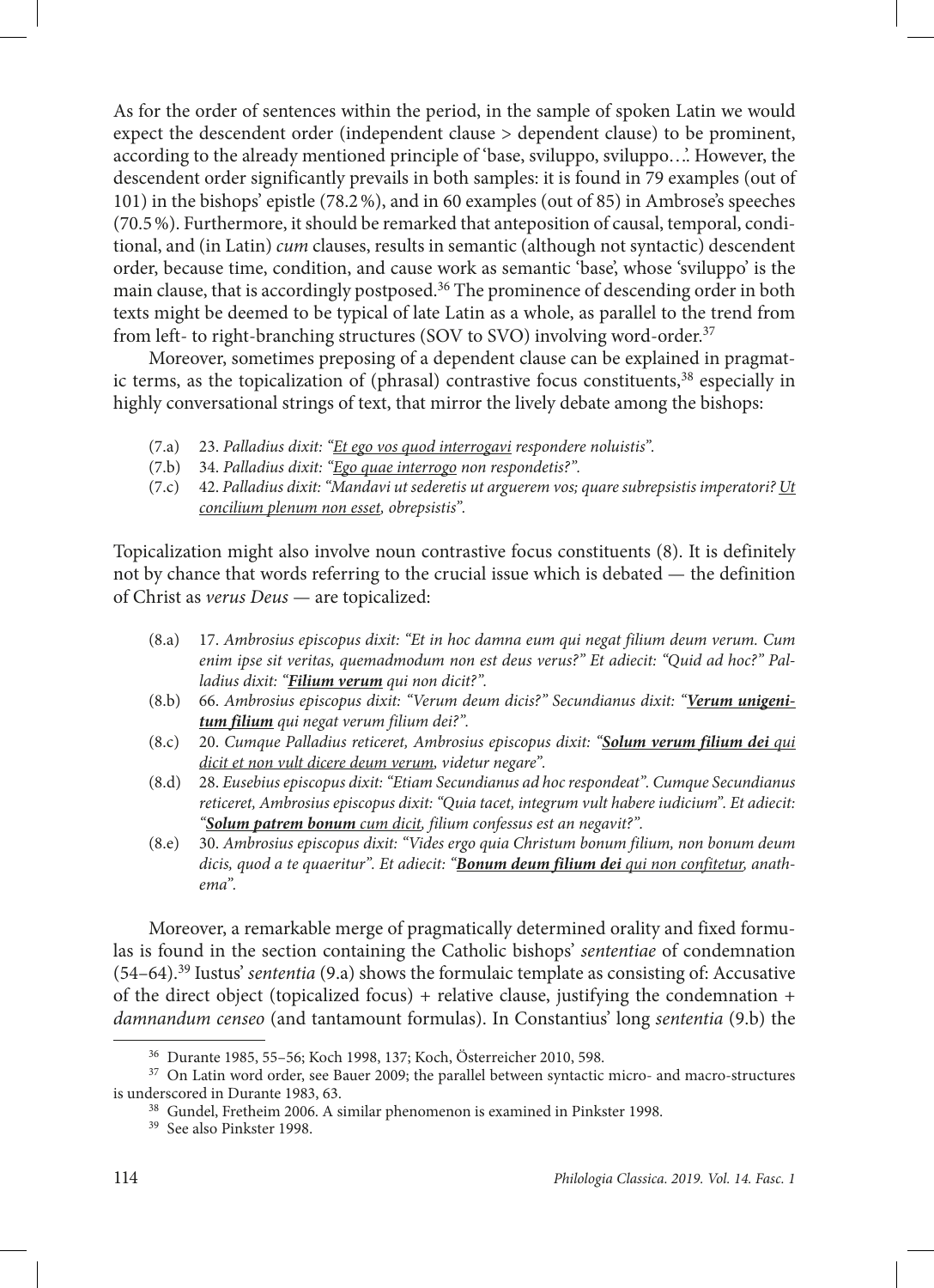As for the order of sentences within the period, in the sample of spoken Latin we would expect the descendent order (independent clause > dependent clause) to be prominent, according to the already mentioned principle of 'base, sviluppo, sviluppo…'. However, the descendent order significantly prevails in both samples: it is found in 79 examples (out of 101) in the bishops' epistle (78.2%), and in 60 examples (out of 85) in Ambrose's speeches (70.5%). Furthermore, it should be remarked that anteposition of causal, temporal, conditional, and (in Latin) *cum* clauses, results in semantic (although not syntactic) descendent order, because time, condition, and cause work as semantic 'base', whose 'sviluppo' is the main clause, that is accordingly postposed.<sup>36</sup> The prominence of descending order in both texts might be deemed to be typical of late Latin as a whole, as parallel to the trend from from left- to right-branching structures (SOV to SVO) involving word-order.37

Moreover, sometimes preposing of a dependent clause can be explained in pragmatic terms, as the topicalization of (phrasal) contrastive focus constituents, $38$  especially in highly conversational strings of text, that mirror the lively debate among the bishops:

- (7.a) 23. *Palladius dixit: "Et ego vos quod interrogavi respondere noluistis".*
- (7.b) 34. *Palladius dixit: "Ego quae interrogo non respondetis?".*
- (7.c) 42. *Palladius dixit: "Mandavi ut sederetis ut arguerem vos; quare subrepsistis imperatori? Ut concilium plenum non esset, obrepsistis".*

Topicalization might also involve noun contrastive focus constituents (8). It is definitely not by chance that words referring to the crucial issue which is debated — the definition of Christ as *verus Deus* — are topicalized:

- (8.a) 17. *Ambrosius episcopus dixit: "Et in hoc damna eum qui negat filium deum verum. Cum enim ipse sit veritas, quemadmodum non est deus verus?" Et adiecit: "Quid ad hoc?" Palladius dixit: "Filium verum qui non dicit?".*
- (8.b) 66. *Ambrosius episcopus dixit: "Verum deum dicis?" Secundianus dixit: "Verum unigenitum filium qui negat verum filium dei?".*
- (8.c) 20. *Cumque Palladius reticeret, Ambrosius episcopus dixit: "Solum verum filium dei qui dicit et non vult dicere deum verum, videtur negare".*
- (8.d) 28. *Eusebius episcopus dixit: "Etiam Secundianus ad hoc respondeat". Cumque Secundianus reticeret, Ambrosius episcopus dixit: "Quia tacet, integrum vult habere iudicium". Et adiecit: "Solum patrem bonum cum dicit, filium confessus est an negavit?".*
- (8.e) 30. *Ambrosius episcopus dixit: "Vides ergo quia Christum bonum filium, non bonum deum dicis, quod a te quaeritur". Et adiecit: "Bonum deum filium dei qui non confitetur, anathema".*

Moreover, a remarkable merge of pragmatically determined orality and fixed formulas is found in the section containing the Catholic bishops' *sententiae* of condemnation (54–64).39 Iustus' *sententia* (9.a) shows the formulaic template as consisting of: Accusative of the direct object (topicalized focus) + relative clause, justifying the condemnation + *damnandum censeo* (and tantamount formulas). In Constantius' long *sententia* (9.b) the

<sup>36</sup> Durante 1985, 55–56; Koch 1998, 137; Koch, Österreicher 2010, 598.

<sup>&</sup>lt;sup>37</sup> On Latin word order, see Bauer 2009; the parallel between syntactic micro- and macro-structures is underscored in Durante 1983, 63.

<sup>38</sup> Gundel, Fretheim 2006. A similar phenomenon is examined in Pinkster 1998.

<sup>39</sup> See also Pinkster 1998.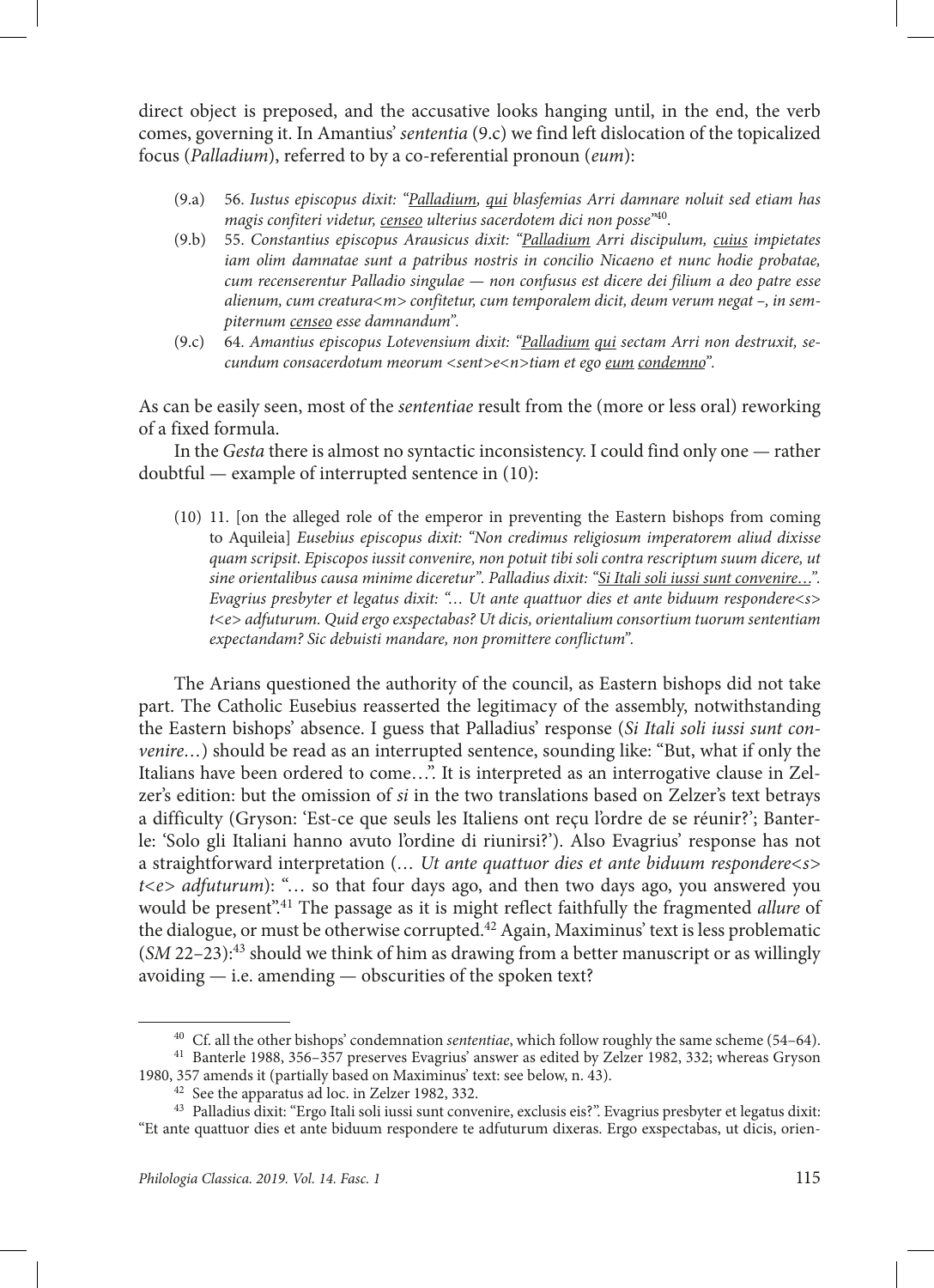direct object is preposed, and the accusative looks hanging until, in the end, the verb comes, governing it. In Amantius' *sententia* (9.c) we find left dislocation of the topicalized focus (*Palladium*), referred to by a co-referential pronoun (*eum*):

- (9.a) 56. *Iustus episcopus dixit: "Palladium, qui blasfemias Arri damnare noluit sed etiam has magis confiteri videtur, censeo ulterius sacerdotem dici non posse"*40.
- (9.b) 55. *Constantius episcopus Arausicus dixit: "Palladium Arri discipulum, cuius impietates iam olim damnatae sunt a patribus nostris in concilio Nicaeno et nunc hodie probatae, cum recenserentur Palladio singulae — non confusus est dicere dei filium a deo patre esse alienum, cum creatura<m> confitetur, cum temporalem dicit, deum verum negat –, in sempiternum censeo esse damnandum".*
- (9.c) 64. *Amantius episcopus Lotevensium dixit: "Palladium qui sectam Arri non destruxit, secundum consacerdotum meorum <sent>e<n>tiam et ego eum condemno".*

As can be easily seen, most of the *sententiae* result from the (more or less oral) reworking of a fixed formula.

In the *Gesta* there is almost no syntactic inconsistency. I could find only one — rather doubtful — example of interrupted sentence in (10):

(10) 11. [on the alleged role of the emperor in preventing the Eastern bishops from coming to Aquileia] *Eusebius episcopus dixit: "Non credimus religiosum imperatorem aliud dixisse quam scripsit. Episcopos iussit convenire, non potuit tibi soli contra rescriptum suum dicere, ut sine orientalibus causa minime diceretur". Palladius dixit: "Si Itali soli iussi sunt convenire…". Evagrius presbyter et legatus dixit: "… Ut ante quattuor dies et ante biduum respondere<s> t<e> adfuturum. Quid ergo exspectabas? Ut dicis, orientalium consortium tuorum sententiam expectandam? Sic debuisti mandare, non promittere conflictum".*

The Arians questioned the authority of the council, as Eastern bishops did not take part. The Catholic Eusebius reasserted the legitimacy of the assembly, notwithstanding the Eastern bishops' absence. I guess that Palladius' response (*Si Itali soli iussi sunt convenire…*) should be read as an interrupted sentence, sounding like: "But, what if only the Italians have been ordered to come…". It is interpreted as an interrogative clause in Zelzer's edition: but the omission of *si* in the two translations based on Zelzer's text betrays a difficulty (Gryson: 'Est-ce que seuls les Italiens ont reçu l'ordre de se réunir?'; Banterle: 'Solo gli Italiani hanno avuto l'ordine di riunirsi?'). Also Evagrius' response has not a straightforward interpretation (*… Ut ante quattuor dies et ante biduum respondere<s> t<e> adfuturum*): "… so that four days ago, and then two days ago, you answered you would be present".41 The passage as it is might reflect faithfully the fragmented *allure* of the dialogue, or must be otherwise corrupted.42 Again, Maximinus' text is less problematic (*SM* 22–23):43 should we think of him as drawing from a better manuscript or as willingly avoiding — i.e. amending — obscurities of the spoken text?

<sup>40</sup> Cf. all the other bishops' condemnation *sententiae*, which follow roughly the same scheme (54–64).

<sup>&</sup>lt;sup>41</sup> Banterle 1988, 356–357 preserves Evagrius' answer as edited by Zelzer 1982, 332; whereas Gryson 1980, 357 amends it (partially based on Maximinus' text: see below, n. 43).

 $42$  See the apparatus ad loc. in Zelzer 1982, 332.<br> $43$  Palladius dixit: "Ergo Itali soli iussi sunt convenire, exclusis eis?". Evagrius presbyter et legatus dixit: "Et ante quattuor dies et ante biduum respondere te adfuturum dixeras. Ergo exspectabas, ut dicis, orien-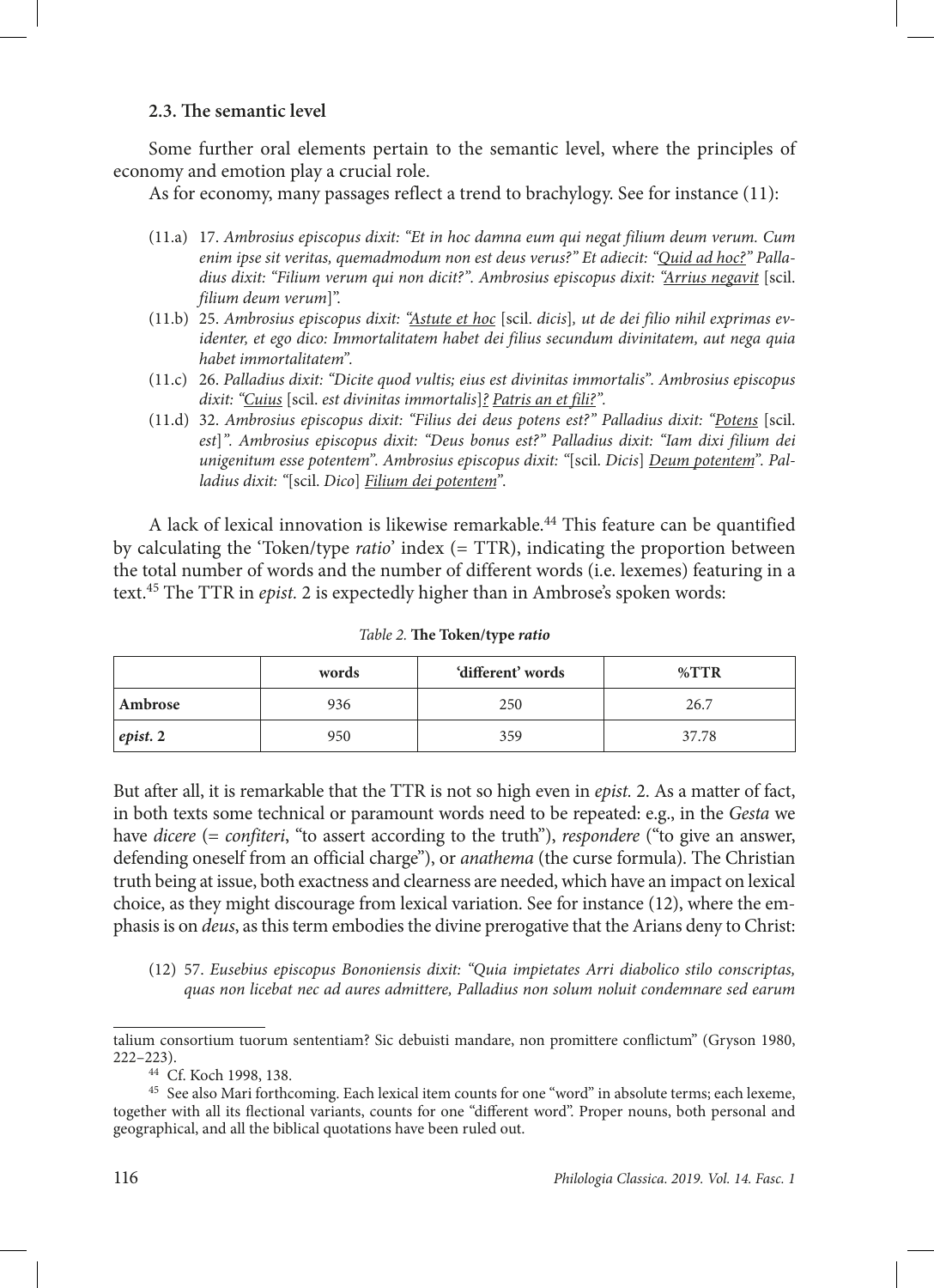## **2.3. The semantic level**

Some further oral elements pertain to the semantic level, where the principles of economy and emotion play a crucial role.

As for economy, many passages reflect a trend to brachylogy. See for instance (11):

- (11.a) 17. *Ambrosius episcopus dixit: "Et in hoc damna eum qui negat filium deum verum. Cum enim ipse sit veritas, quemadmodum non est deus verus?" Et adiecit: "Quid ad hoc?" Palladius dixit: "Filium verum qui non dicit?". Ambrosius episcopus dixit: "Arrius negavit* [scil. *filium deum verum*]".
- (11.b) 25. *Ambrosius episcopus dixit: "Astute et hoc* [scil. *dicis*]*, ut de dei filio nihil exprimas evidenter, et ego dico: Immortalitatem habet dei filius secundum divinitatem, aut nega quia habet immortalitatem".*
- (11.c) 26. *Palladius dixit: "Dicite quod vultis; eius est divinitas immortalis". Ambrosius episcopus dixit: "Cuius* [scil. *est divinitas immortalis*]*? Patris an et fili?".*
- (11.d) 32. *Ambrosius episcopus dixit: "Filius dei deus potens est?" Palladius dixit: "Potens* [scil. *est*]*". Ambrosius episcopus dixit: "Deus bonus est?" Palladius dixit: "Iam dixi filium dei unigenitum esse potentem". Ambrosius episcopus dixit: "*[scil. *Dicis*] *Deum potentem". Palladius dixit: "*[scil. *Dico*] *Filium dei potentem"*.

A lack of lexical innovation is likewise remarkable.<sup>44</sup> This feature can be quantified by calculating the 'Token/type *ratio*' index (= TTR), indicating the proportion between the total number of words and the number of different words (i.e. lexemes) featuring in a text.45 The TTR in *epist.* 2 is expectedly higher than in Ambrose's spoken words:

|          | words | 'different' words | $\%$ TTR |
|----------|-------|-------------------|----------|
| Ambrose  | 936   | 250               | 26.7     |
| epist. 2 | 950   | 359               | 37.78    |

*Table 2.* **The Token/type** *ratio*

But after all, it is remarkable that the TTR is not so high even in *epist.* 2. As a matter of fact, in both texts some technical or paramount words need to be repeated: e.g., in the *Gesta* we have *dicere* (= *confiteri*, "to assert according to the truth"), *respondere* ("to give an answer, defending oneself from an official charge"), or *anathema* (the curse formula). The Christian truth being at issue, both exactness and clearness are needed, which have an impact on lexical choice, as they might discourage from lexical variation. See for instance (12), where the emphasis is on *deus*, as this term embodies the divine prerogative that the Arians deny to Christ:

(12) 57. *Eusebius episcopus Bononiensis dixit: "Quia impietates Arri diabolico stilo conscriptas, quas non licebat nec ad aures admittere, Palladius non solum noluit condemnare sed earum* 

talium consortium tuorum sententiam? Sic debuisti mandare, non promittere conflictum" (Gryson 1980, 222–223).

<sup>44</sup> Cf. Koch 1998, 138.

<sup>45</sup> See also Mari forthcoming. Each lexical item counts for one "word" in absolute terms; each lexeme, together with all its flectional variants, counts for one "different word". Proper nouns, both personal and geographical, and all the biblical quotations have been ruled out.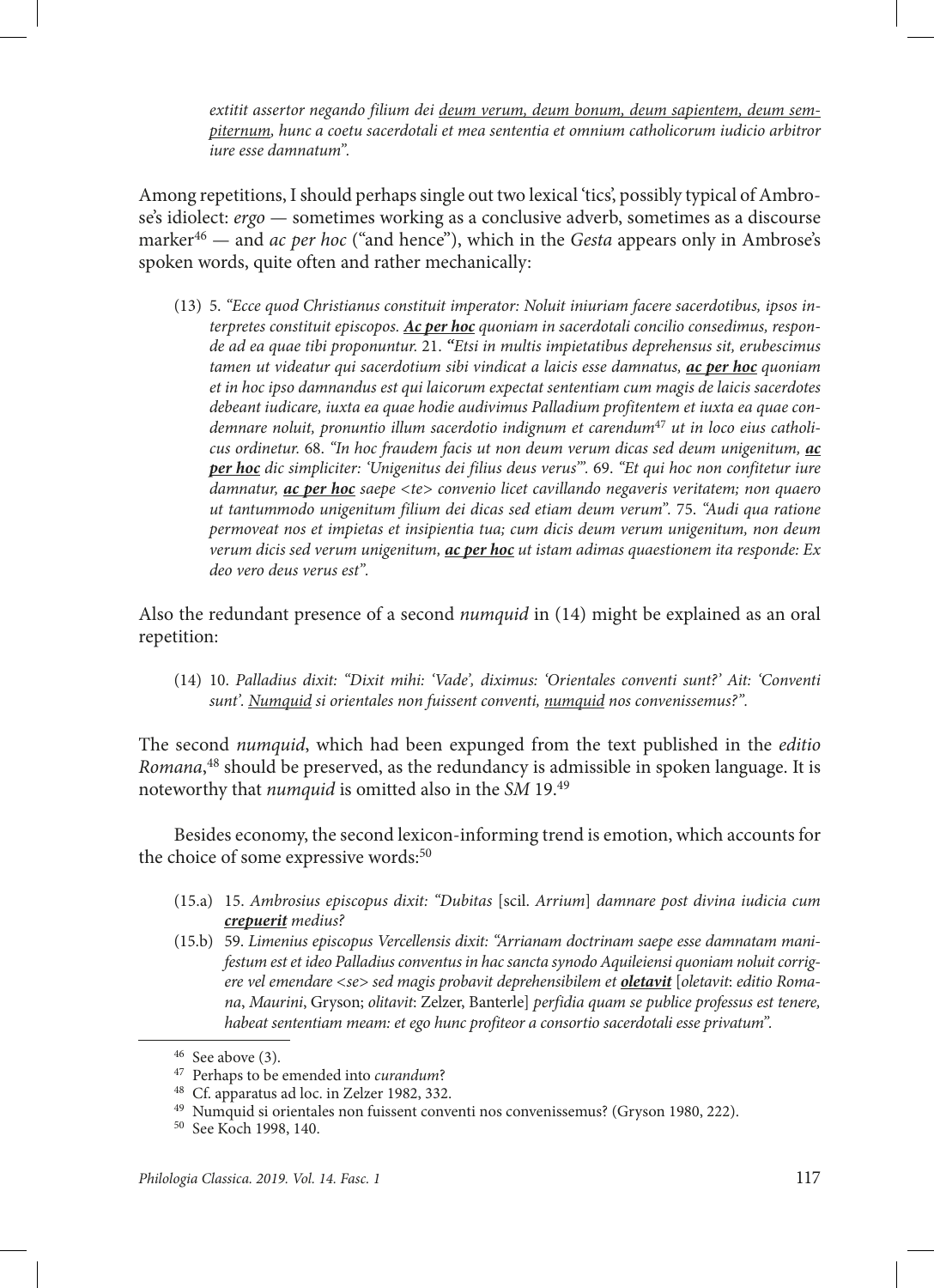*extitit assertor negando filium dei deum verum, deum bonum, deum sapientem, deum sempiternum, hunc a coetu sacerdotali et mea sententia et omnium catholicorum iudicio arbitror iure esse damnatum".*

Among repetitions, I should perhaps single out two lexical 'tics', possibly typical of Ambrose's idiolect: *ergo* — sometimes working as a conclusive adverb, sometimes as a discourse marker<sup>46</sup> — and *ac per hoc* ("and hence"), which in the *Gesta* appears only in Ambrose's spoken words, quite often and rather mechanically:

(13) 5. *"Ecce quod Christianus constituit imperator: Noluit iniuriam facere sacerdotibus, ipsos interpretes constituit episcopos. Ac per hoc quoniam in sacerdotali concilio consedimus, responde ad ea quae tibi proponuntur.* 21. *"Etsi in multis impietatibus deprehensus sit, erubescimus tamen ut videatur qui sacerdotium sibi vindicat a laicis esse damnatus, ac per hoc quoniam et in hoc ipso damnandus est qui laicorum expectat sententiam cum magis de laicis sacerdotes debeant iudicare, iuxta ea quae hodie audivimus Palladium profitentem et iuxta ea quae condemnare noluit, pronuntio illum sacerdotio indignum et carendum*47 *ut in loco eius catholicus ordinetur.* 68. *"In hoc fraudem facis ut non deum verum dicas sed deum unigenitum, ac per hoc dic simpliciter: 'Unigenitus dei filius deus verus'".* 69. *"Et qui hoc non confitetur iure damnatur, ac per hoc saepe <te> convenio licet cavillando negaveris veritatem; non quaero ut tantummodo unigenitum filium dei dicas sed etiam deum verum".* 75. *"Audi qua ratione permoveat nos et impietas et insipientia tua; cum dicis deum verum unigenitum, non deum verum dicis sed verum unigenitum, ac per hoc ut istam adimas quaestionem ita responde: Ex deo vero deus verus est".*

Also the redundant presence of a second *numquid* in (14) might be explained as an oral repetition:

(14) 10. *Palladius dixit: "Dixit mihi: 'Vade', diximus: 'Orientales conventi sunt?' Ait: 'Conventi sunt'. Numquid si orientales non fuissent conventi, numquid nos convenissemus?".*

The second *numquid*, which had been expunged from the text published in the *editio Romana*, 48 should be preserved, as the redundancy is admissible in spoken language. It is noteworthy that *numquid* is omitted also in the *SM* 19.49

Besides economy, the second lexicon-informing trend is emotion, which accounts for the choice of some expressive words:<sup>50</sup>

- (15.a) 15. *Ambrosius episcopus dixit: "Dubitas* [scil. *Arrium*] *damnare post divina iudicia cum crepuerit medius?*
- (15.b) 59. *Limenius episcopus Vercellensis dixit: "Arrianam doctrinam saepe esse damnatam manifestum est et ideo Palladius conventus in hac sancta synodo Aquileiensi quoniam noluit corrigere vel emendare <se> sed magis probavit deprehensibilem et oletavit* [*oletavit*: *editio Romana*, *Maurini*, Gryson; *olitavit*: Zelzer, Banterle] *perfidia quam se publice professus est tenere, habeat sententiam meam: et ego hunc profiteor a consortio sacerdotali esse privatum".*

<sup>46</sup> See above (3). 47 Perhaps to be emended into *curandum*? 48 Cf. apparatus ad loc. in Zelzer 1982, 332.

<sup>49</sup> Numquid si orientales non fuissent conventi nos convenissemus? (Gryson 1980, 222).

<sup>50</sup> See Koch 1998, 140.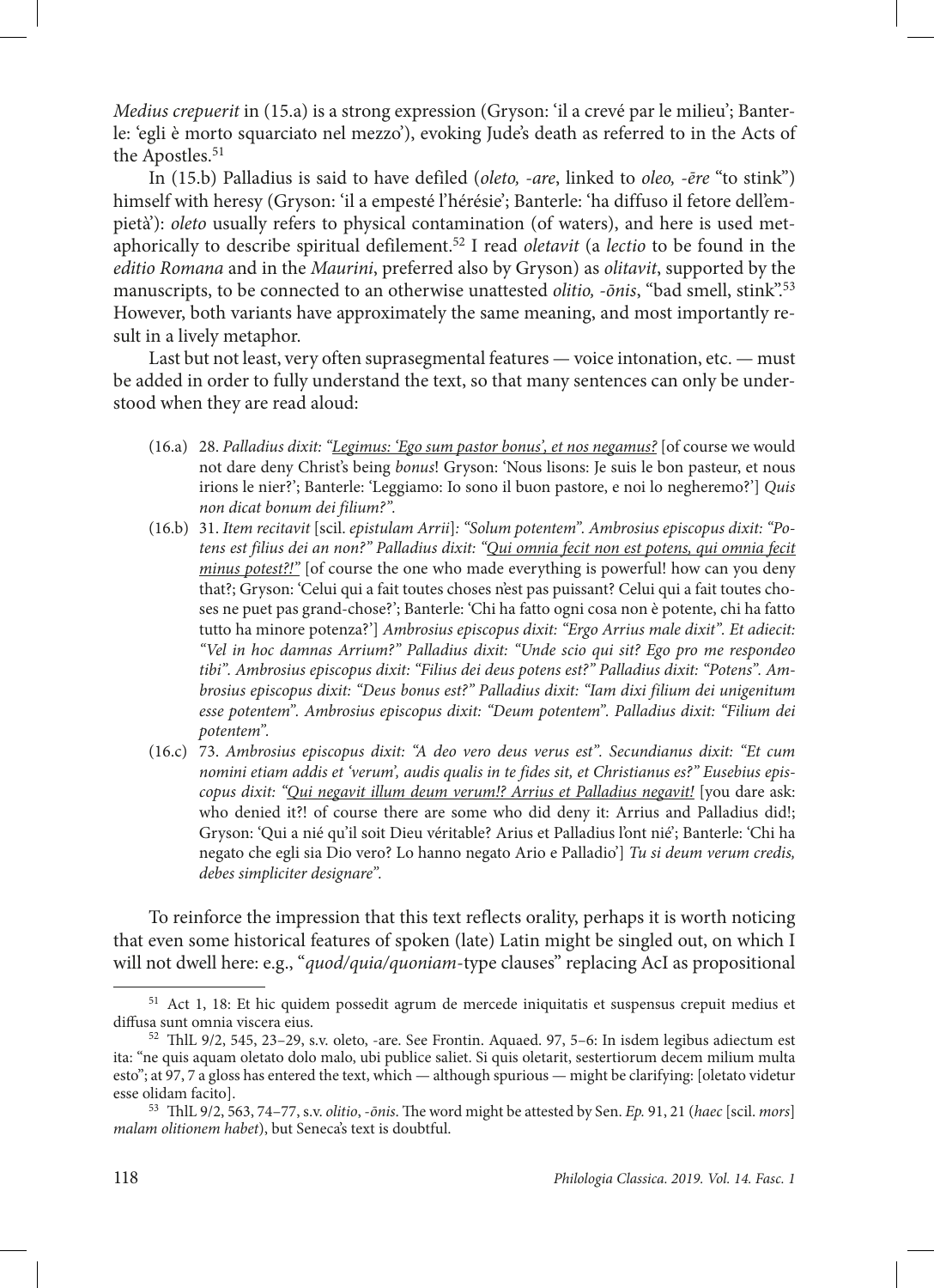*Medius crepuerit* in (15.a) is a strong expression (Gryson: 'il a crevé par le milieu'; Banterle: 'egli è morto squarciato nel mezzo'), evoking Jude's death as referred to in the Acts of the Apostles.<sup>51</sup>

In (15.b) Palladius is said to have defiled (*oleto, -are*, linked to *oleo, -ēre* "to stink") himself with heresy (Gryson: 'il a empesté l'hérésie'; Banterle: 'ha diffuso il fetore dell'empietà'): *oleto* usually refers to physical contamination (of waters), and here is used metaphorically to describe spiritual defilement.52 I read *oletavit* (a *lectio* to be found in the *editio Romana* and in the *Maurini*, preferred also by Gryson) as *olitavit*, supported by the manuscripts, to be connected to an otherwise unattested *olitio, -ōnis*, "bad smell, stink".53 However, both variants have approximately the same meaning, and most importantly result in a lively metaphor.

Last but not least, very often suprasegmental features — voice intonation, etc. — must be added in order to fully understand the text, so that many sentences can only be understood when they are read aloud:

- (16.a) 28. *Palladius dixit: "Legimus: 'Ego sum pastor bonus', et nos negamus?* [of course we would not dare deny Christ's being *bonus*! Gryson: 'Nous lisons: Je suis le bon pasteur, et nous irions le nier?'; Banterle: 'Leggiamo: Io sono il buon pastore, e noi lo negheremo?'] *Quis non dicat bonum dei filium?".*
- (16.b) 31. *Item recitavit* [scil. *epistulam Arrii*]*: "Solum potentem". Ambrosius episcopus dixit: "Potens est filius dei an non?" Palladius dixit: "Qui omnia fecit non est potens, qui omnia fecit minus potest?!"* [of course the one who made everything is powerful! how can you deny that?; Gryson: 'Celui qui a fait toutes choses n'est pas puissant? Celui qui a fait toutes choses ne puet pas grand-chose?'; Banterle: 'Chi ha fatto ogni cosa non è potente, chi ha fatto tutto ha minore potenza?'] *Ambrosius episcopus dixit: "Ergo Arrius male dixit". Et adiecit: "Vel in hoc damnas Arrium?" Palladius dixit: "Unde scio qui sit? Ego pro me respondeo tibi". Ambrosius episcopus dixit: "Filius dei deus potens est?" Palladius dixit: "Potens". Ambrosius episcopus dixit: "Deus bonus est?" Palladius dixit: "Iam dixi filium dei unigenitum esse potentem". Ambrosius episcopus dixit: "Deum potentem". Palladius dixit: "Filium dei potentem".*
- (16.c) 73. *Ambrosius episcopus dixit: "A deo vero deus verus est". Secundianus dixit: "Et cum nomini etiam addis et 'verum', audis qualis in te fides sit, et Christianus es?" Eusebius episcopus dixit: "Qui negavit illum deum verum!? Arrius et Palladius negavit!* [you dare ask: who denied it?! of course there are some who did deny it: Arrius and Palladius did!; Gryson: 'Qui a nié qu'il soit Dieu véritable? Arius et Palladius l'ont nié'; Banterle: 'Chi ha negato che egli sia Dio vero? Lo hanno negato Ario e Palladio'] *Tu si deum verum credis, debes simpliciter designare".*

To reinforce the impression that this text reflects orality, perhaps it is worth noticing that even some historical features of spoken (late) Latin might be singled out, on which I will not dwell here: e.g., "*quod/quia/quoniam*-type clauses" replacing AcI as propositional

<sup>51</sup> Act 1, 18: Et hic quidem possedit agrum de mercede iniquitatis et suspensus crepuit medius et diffusa sunt omnia viscera eius.

<sup>52</sup> ThlL 9/2, 545, 23–29, s.v. oleto, -are. See Frontin. Aquaed. 97, 5–6: In isdem legibus adiectum est ita: "ne quis aquam oletato dolo malo, ubi publice saliet. Si quis oletarit, sestertiorum decem milium multa esto"; at 97, 7 a gloss has entered the text, which — although spurious — might be clarifying: [oletato videtur esse olidam facito].

<sup>53</sup> ThlL 9/2, 563, 74–77, s.v. *olitio*, -*ōnis*. The word might be attested by Sen. *Ep.* 91, 21 (*haec* [scil. *mors*] *malam olitionem habet*), but Seneca's text is doubtful.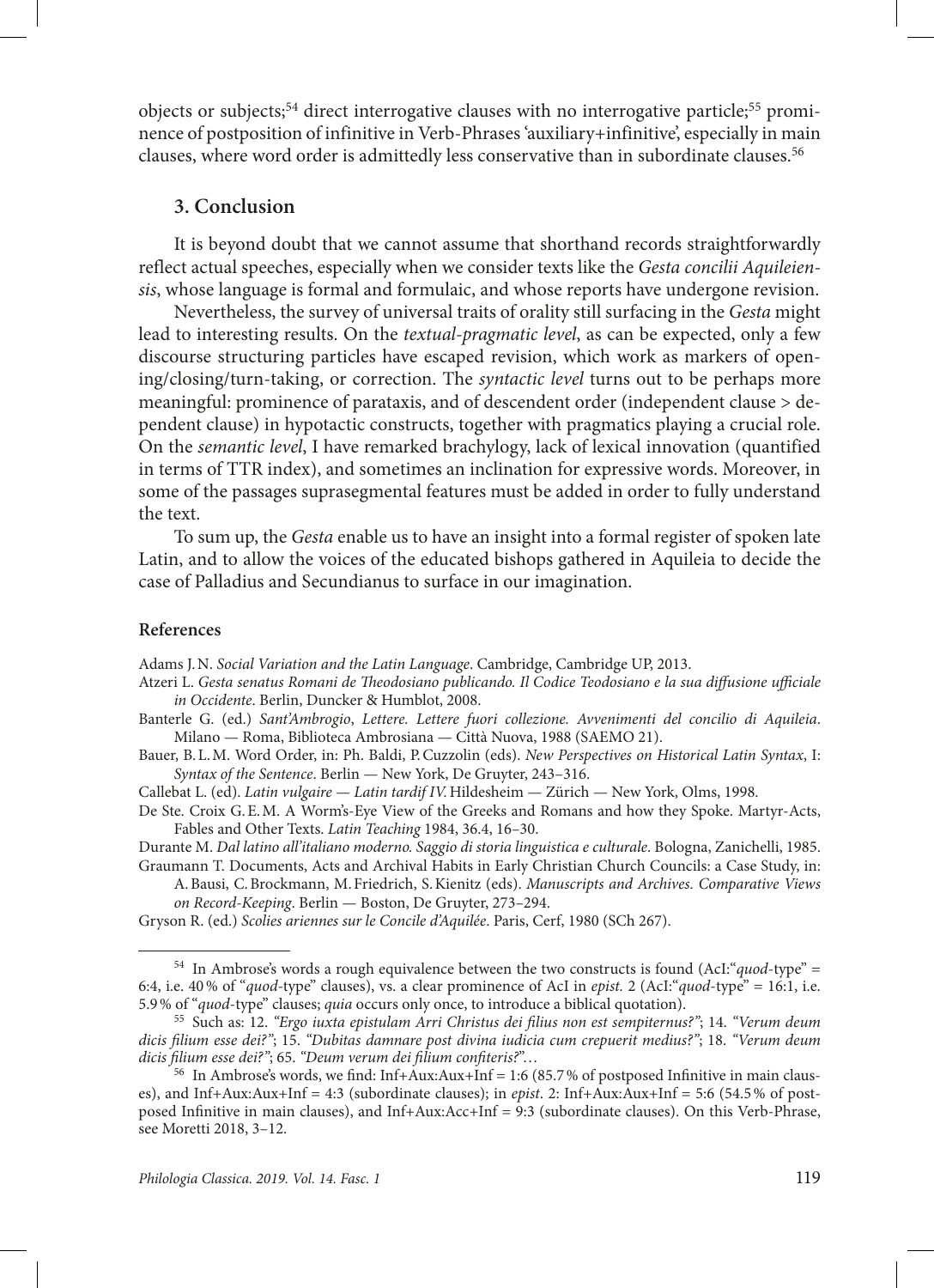objects or subjects;<sup>54</sup> direct interrogative clauses with no interrogative particle;<sup>55</sup> prominence of postposition of infinitive in Verb-Phrases 'auxiliary+infinitive', especially in main clauses, where word order is admittedly less conservative than in subordinate clauses.<sup>56</sup>

### **3. Conclusion**

It is beyond doubt that we cannot assume that shorthand records straightforwardly reflect actual speeches, especially when we consider texts like the *Gesta concilii Aquileiensis*, whose language is formal and formulaic, and whose reports have undergone revision.

Nevertheless, the survey of universal traits of orality still surfacing in the *Gesta* might lead to interesting results. On the *textual-pragmatic level*, as can be expected, only a few discourse structuring particles have escaped revision, which work as markers of opening/closing/turn-taking, or correction. The *syntactic level* turns out to be perhaps more meaningful: prominence of parataxis, and of descendent order (independent clause > dependent clause) in hypotactic constructs, together with pragmatics playing a crucial role. On the *semantic level*, I have remarked brachylogy, lack of lexical innovation (quantified in terms of TTR index), and sometimes an inclination for expressive words. Moreover, in some of the passages suprasegmental features must be added in order to fully understand the text.

To sum up, the *Gesta* enable us to have an insight into a formal register of spoken late Latin, and to allow the voices of the educated bishops gathered in Aquileia to decide the case of Palladius and Secundianus to surface in our imagination.

#### **References**

Adams J.N. *Social Variation and the Latin Language*. Cambridge, Cambridge UP, 2013.

- Atzeri L. *Gesta senatus Romani de Theodosiano publicando. Il Codice Teodosiano e la sua diffusione ufficiale in Occidente*. Berlin, Duncker & Humblot, 2008.
- Banterle G. (ed.) *Sant'Ambrogio*, *Lettere. Lettere fuori collezione. Avvenimenti del concilio di Aquileia*. Milano — Roma, Biblioteca Ambrosiana — Città Nuova, 1988 (SAEMO 21).
- Bauer, B.L.M. Word Order, in: Ph. Baldi, P.Cuzzolin (eds). *New Perspectives on Historical Latin Syntax*, I: *Syntax of the Sentence*. Berlin — New York, De Gruyter, 243–316.
- Callebat L. (ed). *Latin vulgaire Latin tardif IV.*Hildesheim Zürich New York, Olms, 1998.
- De Ste. Croix G.E.M. A Worm's-Eye View of the Greeks and Romans and how they Spoke. Martyr-Acts, Fables and Other Texts. *Latin Teaching* 1984, 36.4, 16*–*30.
- Durante M. *Dal latino all'italiano moderno. Saggio di storia linguistica e culturale*. Bologna, Zanichelli, 1985. Graumann T. Documents, Acts and Archival Habits in Early Christian Church Councils: a Case Study, in:
	- A.Bausi, C.Brockmann, M.Friedrich, S.Kienitz (eds). *Manuscripts and Archives. Comparative Views on Record-Keeping*. Berlin — Boston, De Gruyter, 273*–*294.
- Gryson R. (ed.) *Scolies ariennes sur le Concile d'Aquilée*. Paris, Cerf, 1980 (SCh 267).

<sup>54</sup> In Ambrose's words a rough equivalence between the two constructs is found (AcI:"*quod*-type" = 6:4, i.e. 40% of "*quod-*type" clauses), vs. a clear prominence of AcI in *epist.* 2 (AcI:"*quod*-type" = 16:1, i.e. 5.9% of "*quod*-type" clauses; *quia* occurs only once, to introduce a biblical quotation).

<sup>55</sup> Such as: 12. *"Ergo iuxta epistulam Arri Christus dei filius non est sempiternus?"*; 14. *"Verum deum dicis filium esse dei?"*; 15. *"Dubitas damnare post divina iudicia cum crepuerit medius?"*; 18. *"Verum deum dicis filium esse dei?"*; 65. *"Deum verum dei filium confiteris?*"…

<sup>&</sup>lt;sup>56</sup> In Ambrose's words, we find: Inf+Aux:Aux+Inf = 1:6 (85.7% of postposed Infinitive in main clauses), and Inf+Aux:Aux+Inf = 4:3 (subordinate clauses); in *epist*. 2: Inf+Aux:Aux+Inf = 5:6 (54.5% of postposed Infinitive in main clauses), and Inf+Aux:Acc+Inf = 9:3 (subordinate clauses). On this Verb-Phrase, see Moretti 2018, 3–12.